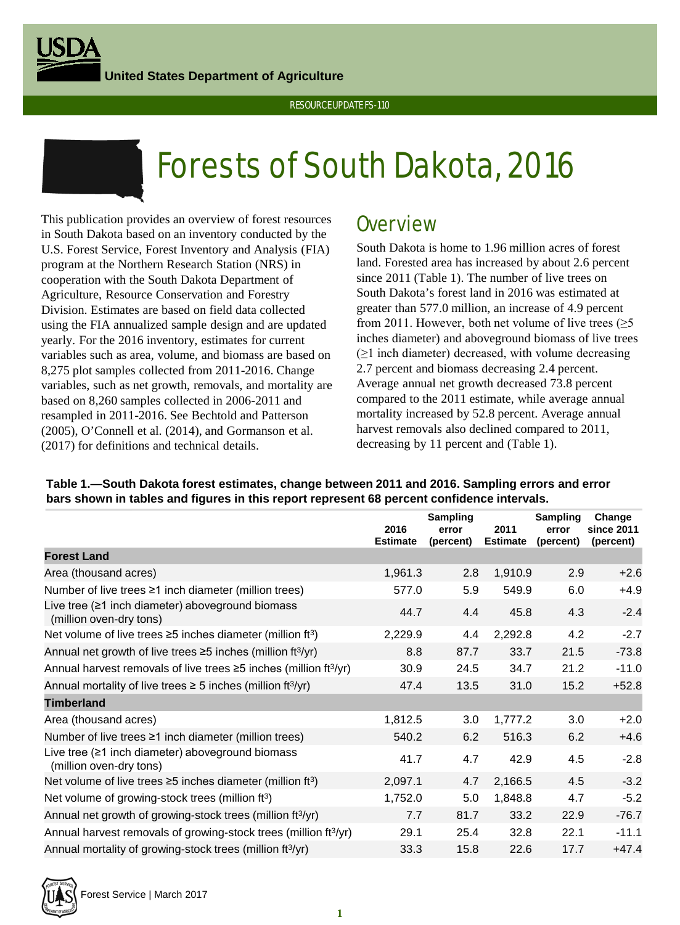**United States Department of Agriculture**





# Forests of South Dakota, 2016

This publication provides an overview of forest resources in South Dakota based on an inventory conducted by the U.S. Forest Service, Forest Inventory and Analysis (FIA) program at the Northern Research Station (NRS) in cooperation with the South Dakota Department of Agriculture, Resource Conservation and Forestry Division. Estimates are based on field data collected using the FIA annualized sample design and are updated yearly. For the 2016 inventory, estimates for current variables such as area, volume, and biomass are based on 8,275 plot samples collected from 2011-2016. Change variables, such as net growth, removals, and mortality are based on 8,260 samples collected in 2006-2011 and resampled in 2011-2016. See Bechtold and Patterson (2005), O'Connell et al. (2014), and Gormanson et al. (2017) for definitions and technical details.

## **Overview**

South Dakota is home to 1.96 million acres of forest land. Forested area has increased by about 2.6 percent since 2011 (Table 1). The number of live trees on South Dakota's forest land in 2016 was estimated at greater than 577.0 million, an increase of 4.9 percent from 2011. However, both net volume of live trees  $(\geq 5)$ inches diameter) and aboveground biomass of live trees  $(\geq 1)$  inch diameter) decreased, with volume decreasing 2.7 percent and biomass decreasing 2.4 percent. Average annual net growth decreased 73.8 percent compared to the 2011 estimate, while average annual mortality increased by 52.8 percent. Average annual harvest removals also declined compared to 2011, decreasing by 11 percent and (Table 1).

|                                                                                     | 2016<br><b>Estimate</b> | Sampling<br>error<br>(percent) | 2011<br><b>Estimate</b> | <b>Sampling</b><br>error<br>(percent) | Change<br>since 2011<br>(percent) |
|-------------------------------------------------------------------------------------|-------------------------|--------------------------------|-------------------------|---------------------------------------|-----------------------------------|
| <b>Forest Land</b>                                                                  |                         |                                |                         |                                       |                                   |
| Area (thousand acres)                                                               | 1,961.3                 | 2.8                            | 1,910.9                 | 2.9                                   | $+2.6$                            |
| Number of live trees $\geq 1$ inch diameter (million trees)                         | 577.0                   | 5.9                            | 549.9                   | 6.0                                   | $+4.9$                            |
| Live tree $(≥1$ inch diameter) aboveground biomass<br>(million oven-dry tons)       | 44.7                    | 4.4                            | 45.8                    | 4.3                                   | $-2.4$                            |
| Net volume of live trees $\geq$ 5 inches diameter (million ft <sup>3</sup> )        | 2,229.9                 | 4.4                            | 2,292.8                 | 4.2                                   | $-2.7$                            |
| Annual net growth of live trees $\geq$ 5 inches (million ft <sup>3/</sup> yr)       | 8.8                     | 87.7                           | 33.7                    | 21.5                                  | $-73.8$                           |
| Annual harvest removals of live trees $\geq$ 5 inches (million ft <sup>3/</sup> yr) | 30.9                    | 24.5                           | 34.7                    | 21.2                                  | $-11.0$                           |
| Annual mortality of live trees $\geq 5$ inches (million ft <sup>3</sup> /yr)        | 47.4                    | 13.5                           | 31.0                    | 15.2                                  | $+52.8$                           |
| <b>Timberland</b>                                                                   |                         |                                |                         |                                       |                                   |
| Area (thousand acres)                                                               | 1,812.5                 | 3.0                            | 1,777.2                 | 3.0                                   | $+2.0$                            |
| Number of live trees $\geq 1$ inch diameter (million trees)                         | 540.2                   | 6.2                            | 516.3                   | 6.2                                   | $+4.6$                            |
| Live tree $(≥1$ inch diameter) aboveground biomass<br>(million oven-dry tons)       | 41.7                    | 4.7                            | 42.9                    | 4.5                                   | $-2.8$                            |
| Net volume of live trees $\geq$ 5 inches diameter (million ft <sup>3</sup> )        | 2,097.1                 | 4.7                            | 2,166.5                 | 4.5                                   | $-3.2$                            |
| Net volume of growing-stock trees (million ft <sup>3</sup> )                        | 1,752.0                 | 5.0                            | 1,848.8                 | 4.7                                   | $-5.2$                            |
| Annual net growth of growing-stock trees (million ft <sup>3/</sup> yr)              | 7.7                     | 81.7                           | 33.2                    | 22.9                                  | $-76.7$                           |
| Annual harvest removals of growing-stock trees (million ft <sup>3/</sup> yr)        | 29.1                    | 25.4                           | 32.8                    | 22.1                                  | $-11.1$                           |
| Annual mortality of growing-stock trees (million ft <sup>3/</sup> yr)               | 33.3                    | 15.8                           | 22.6                    | 17.7                                  | $+47.4$                           |

## **Table 1.—South Dakota forest estimates, change between 2011 and 2016. Sampling errors and error bars shown in tables and figures in this report represent 68 percent confidence intervals.**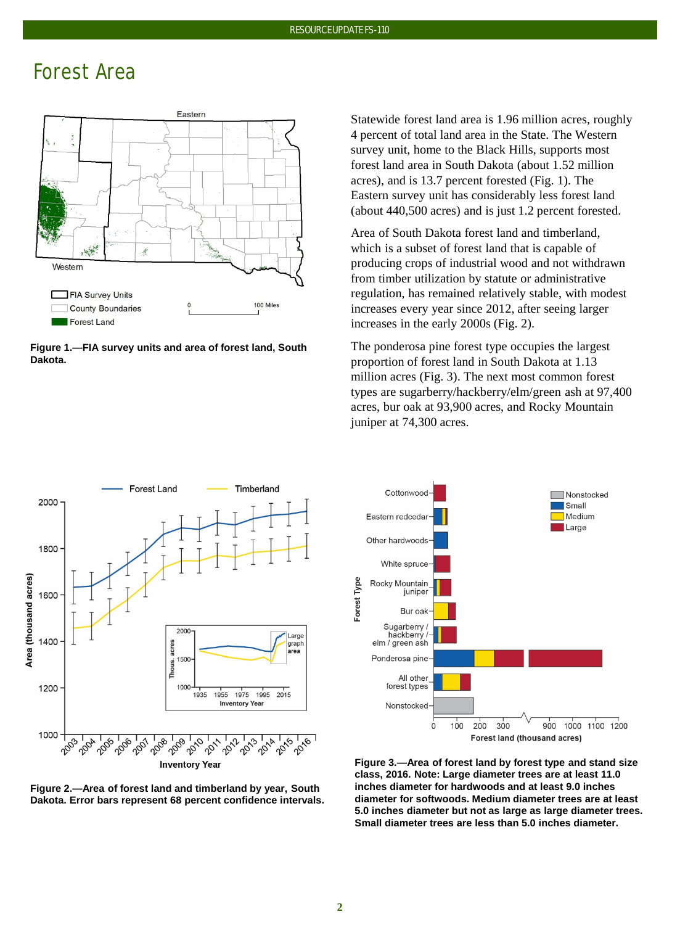# Forest Area



**Figure 1.—FIA survey units and area of forest land, South Dakota.**

Statewide forest land area is 1.96 million acres, roughly 4 percent of total land area in the State. The Western survey unit, home to the Black Hills, supports most forest land area in South Dakota (about 1.52 million acres), and is 13.7 percent forested (Fig. 1). The Eastern survey unit has considerably less forest land (about 440,500 acres) and is just 1.2 percent forested.

Area of South Dakota forest land and timberland, which is a subset of forest land that is capable of producing crops of industrial wood and not withdrawn from timber utilization by statute or administrative regulation, has remained relatively stable, with modest increases every year since 2012, after seeing larger increases in the early 2000s (Fig. 2).

The ponderosa pine forest type occupies the largest proportion of forest land in South Dakota at 1.13 million acres (Fig. 3). The next most common forest types are sugarberry/hackberry/elm/green ash at 97,400 acres, bur oak at 93,900 acres, and Rocky Mountain juniper at 74,300 acres.







**Figure 3.—Area of forest land by forest type and stand size class, 2016. Note: Large diameter trees are at least 11.0 inches diameter for hardwoods and at least 9.0 inches diameter for softwoods. Medium diameter trees are at least 5.0 inches diameter but not as large as large diameter trees. Small diameter trees are less than 5.0 inches diameter.**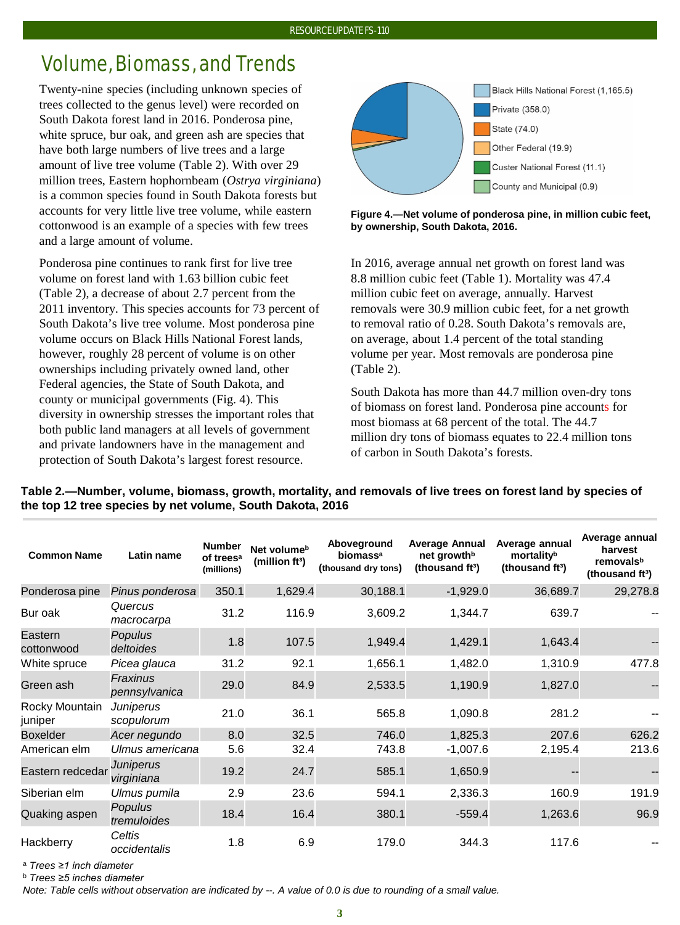#### RESOURCE UPDATE FS-110

# Volume, Biomass, and Trends

Twenty-nine species (including unknown species of trees collected to the genus level) were recorded on South Dakota forest land in 2016. Ponderosa pine, white spruce, bur oak*,* and green ash are species that have both large numbers of live trees and a large amount of live tree volume (Table 2). With over 29 million trees, Eastern hophornbeam (*Ostrya virginiana*) is a common species found in South Dakota forests but accounts for very little live tree volume, while eastern cottonwood is an example of a species with few trees and a large amount of volume.

Ponderosa pine continues to rank first for live tree volume on forest land with 1.63 billion cubic feet (Table 2), a decrease of about 2.7 percent from the 2011 inventory. This species accounts for 73 percent of South Dakota's live tree volume. Most ponderosa pine volume occurs on Black Hills National Forest lands, however, roughly 28 percent of volume is on other ownerships including privately owned land, other Federal agencies, the State of South Dakota, and county or municipal governments (Fig. 4). This diversity in ownership stresses the important roles that both public land managers at all levels of government and private landowners have in the management and protection of South Dakota's largest forest resource.



**Figure 4.—Net volume of ponderosa pine, in million cubic feet, by ownership, South Dakota, 2016.**

In 2016, average annual net growth on forest land was 8.8 million cubic feet (Table 1). Mortality was 47.4 million cubic feet on average, annually. Harvest removals were 30.9 million cubic feet, for a net growth to removal ratio of 0.28. South Dakota's removals are, on average, about 1.4 percent of the total standing volume per year. Most removals are ponderosa pine (Table 2).

South Dakota has more than 44.7 million oven-dry tons of biomass on forest land. Ponderosa pine accounts for most biomass at 68 percent of the total. The 44.7 million dry tons of biomass equates to 22.4 million tons of carbon in South Dakota's forests.

| <b>Common Name</b>        | Latin name                  | <b>Number</b><br>of trees <sup>a</sup><br>(millions) | Net volume <sup>b</sup><br>(million ft <sup>3</sup> ) | Aboveground<br>biomassa<br>(thousand dry tons) | <b>Average Annual</b><br>net growth <sup>b</sup><br>(thousand ft <sup>3</sup> ) | Average annual<br>mortalityb<br>(thousand ft <sup>3</sup> ) | Average annual<br>harvest<br>removalsb<br>(thousand ft <sup>3</sup> ) |
|---------------------------|-----------------------------|------------------------------------------------------|-------------------------------------------------------|------------------------------------------------|---------------------------------------------------------------------------------|-------------------------------------------------------------|-----------------------------------------------------------------------|
| Ponderosa pine            | Pinus ponderosa             | 350.1                                                | 1,629.4                                               | 30,188.1                                       | $-1,929.0$                                                                      | 36,689.7                                                    | 29,278.8                                                              |
| Bur oak                   | Quercus<br>macrocarpa       | 31.2                                                 | 116.9                                                 | 3,609.2                                        | 1,344.7                                                                         | 639.7                                                       |                                                                       |
| Eastern<br>cottonwood     | <b>Populus</b><br>deltoides | 1.8                                                  | 107.5                                                 | 1,949.4                                        | 1,429.1                                                                         | 1,643.4                                                     |                                                                       |
| White spruce              | Picea glauca                | 31.2                                                 | 92.1                                                  | 1,656.1                                        | 1,482.0                                                                         | 1,310.9                                                     | 477.8                                                                 |
| Green ash                 | Fraxinus<br>pennsylvanica   | 29.0                                                 | 84.9                                                  | 2,533.5                                        | 1,190.9                                                                         | 1,827.0                                                     |                                                                       |
| Rocky Mountain<br>juniper | Juniperus<br>scopulorum     | 21.0                                                 | 36.1                                                  | 565.8                                          | 1,090.8                                                                         | 281.2                                                       |                                                                       |
| <b>Boxelder</b>           | Acer negundo                | 8.0                                                  | 32.5                                                  | 746.0                                          | 1,825.3                                                                         | 207.6                                                       | 626.2                                                                 |
| American elm              | Ulmus americana             | 5.6                                                  | 32.4                                                  | 743.8                                          | $-1,007.6$                                                                      | 2,195.4                                                     | 213.6                                                                 |
| Eastern redcedar          | Juniperus<br>virginiana     | 19.2                                                 | 24.7                                                  | 585.1                                          | 1,650.9                                                                         |                                                             |                                                                       |
| Siberian elm              | Ulmus pumila                | 2.9                                                  | 23.6                                                  | 594.1                                          | 2,336.3                                                                         | 160.9                                                       | 191.9                                                                 |
| Quaking aspen             | Populus<br>tremuloides      | 18.4                                                 | 16.4                                                  | 380.1                                          | $-559.4$                                                                        | 1,263.6                                                     | 96.9                                                                  |
| Hackberry                 | Celtis<br>occidentalis      | 1.8                                                  | 6.9                                                   | 179.0                                          | 344.3                                                                           | 117.6                                                       |                                                                       |

## **Table 2.—Number, volume, biomass, growth, mortality, and removals of live trees on forest land by species of the top 12 tree species by net volume, South Dakota, 2016**

<sup>a</sup> *Trees ≥1 inch diameter*

<sup>b</sup> *Trees ≥5 inches diameter*

*Note: Table cells without observation are indicated by --. A value of 0.0 is due to rounding of a small value.*